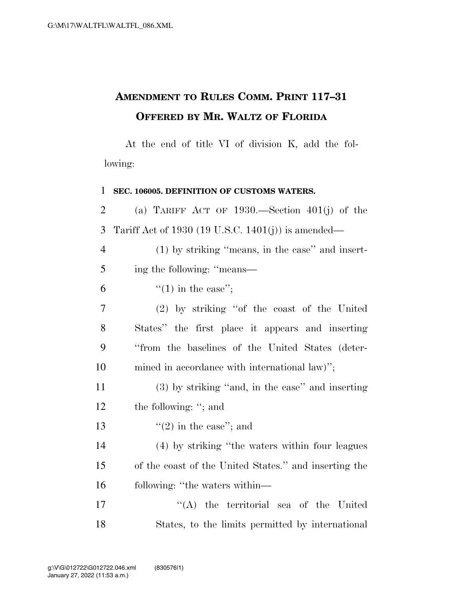## **AMENDMENT TO RULES COMM. PRINT 117–31 OFFERED BY MR. WALTZ OF FLORIDA**

At the end of title VI of division K, add the following:

 **SEC. 106005. DEFINITION OF CUSTOMS WATERS.**  (a) TARIFF ACT OF 1930.—Section 401(j) of the Tariff Act of 1930 (19 U.S.C. 1401(j)) is amended— (1) by striking ''means, in the case'' and insert- ing the following: ''means—  $\frac{1}{2}$  (1) in the case"; (2) by striking ''of the coast of the United States'' the first place it appears and inserting ''from the baselines of the United States (deter- mined in accordance with international law)''; (3) by striking ''and, in the case'' and inserting 12 the following: "; and  $\frac{1}{2}$  in the case"; and (4) by striking ''the waters within four leagues of the coast of the United States.'' and inserting the following: ''the waters within— 17 ''(A) the territorial sea of the United States, to the limits permitted by international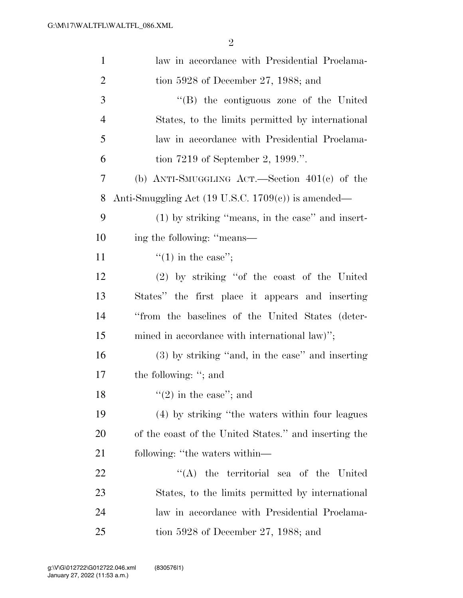| $\mathbf{1}$   | law in accordance with Presidential Proclama-                 |
|----------------|---------------------------------------------------------------|
| $\overline{2}$ | tion 5928 of December 27, 1988; and                           |
| 3              | "(B) the contiguous zone of the United                        |
| $\overline{4}$ | States, to the limits permitted by international              |
| 5              | law in accordance with Presidential Proclama-                 |
| 6              | tion 7219 of September 2, 1999.".                             |
| 7              | (b) ANTI-SMUGGLING ACT.—Section $401(e)$ of the               |
| 8              | Anti-Smuggling Act $(19 \text{ U.S.C. } 1709(c))$ is amended— |
| 9              | $(1)$ by striking "means, in the case" and insert-            |
| 10             | ing the following: "means—                                    |
| 11             | "(1) in the case";                                            |
| 12             | (2) by striking "of the coast of the United                   |
| 13             | States" the first place it appears and inserting              |
| 14             | "from the baselines of the United States (deter-              |
| 15             | mined in accordance with international law)";                 |
| 16             | (3) by striking "and, in the case" and inserting              |
| 17             | the following: "; and                                         |
| 18             | $\lq(2)$ in the case"; and                                    |
| 19             | (4) by striking "the waters within four leagues               |
| 20             | of the coast of the United States." and inserting the         |
| 21             | following: "the waters within—                                |
| 22             | "(A) the territorial sea of the United                        |
| 23             | States, to the limits permitted by international              |
| 24             | law in accordance with Presidential Proclama-                 |
| 25             | tion 5928 of December 27, 1988; and                           |